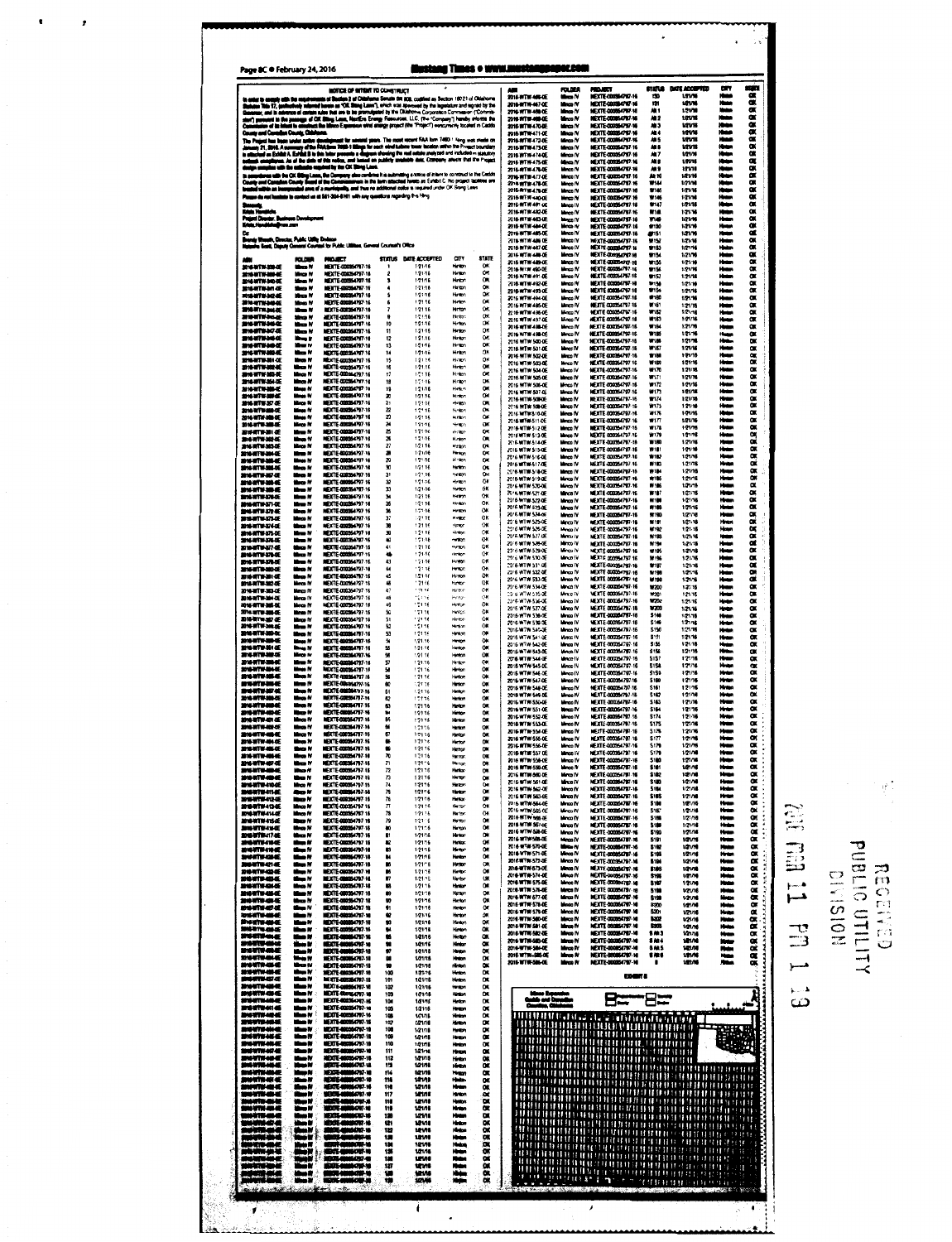|                                                              |                                           | MOTICS OF WITGHT TO CONSTRUCT                                                                                                                                                                                                                                                                                                                  |                                       |                                                                       |                                  |                              | 2014-WTW-466 OE                                            | <b>FOLDER</b><br><b>السطا</b>            | <b>POLICE</b><br><b>MEXTE-000%4797-16</b>                                                                                                                                                        | <b>STATUR</b><br>130        | <b>MATE ACCOUNTED</b><br>1/01/16 | œ<br>Hua                            | نكلت               |
|--------------------------------------------------------------|-------------------------------------------|------------------------------------------------------------------------------------------------------------------------------------------------------------------------------------------------------------------------------------------------------------------------------------------------------------------------------------------------|---------------------------------------|-----------------------------------------------------------------------|----------------------------------|------------------------------|------------------------------------------------------------|------------------------------------------|--------------------------------------------------------------------------------------------------------------------------------------------------------------------------------------------------|-----------------------------|----------------------------------|-------------------------------------|--------------------|
| in order to enemity a<br>Statutes Title 17, ju<br>r and in a | ۰.                                        | a at S<br>development as "COL Shong Leons"), which was approved by the ingeniators and signed by the<br>dress of certain ndes that one to be pro                                                                                                                                                                                               |                                       | m 2 el Oldahama Senata 89 808, codified as Section 160 21 ol Oldahoma |                                  |                              | 2014-10719-467-0E<br>2016-WTW-409-DE                       | Marco fV<br>Manas IV                     | NEXTE-00056797-16<br>NEXTE QUOSATOR NI                                                                                                                                                           | m<br>A1 1                   | 1214<br>12110                    |                                     |                    |
| aari is fie jaar<br>myl is identie o<br>بمع (الط             |                                           | of contain subst fust are to be grownleaded by the Oklahome of provincies are one capiers of the mail.<br>eagle of OK Stary Laus, Handles Everge Ferencese. LLC, phe "Company") havely efforms the<br>campbed the Minnes Expansion w                                                                                                           |                                       |                                                                       |                                  |                              | 2010-11TH-400 OE<br>2016-10TW-470-DE                       | Marco fV<br><b>Mange IV</b><br>Maco N    | NEXTE-DODISORD-N<br>MEXTE-000064797-16<br><b>NEXTE 000064797-16</b>                                                                                                                              | A1 2<br>AD 3                | <b>12V16</b><br>uwa<br>ww        | m                                   |                    |
| County and Contains County, China                            |                                           |                                                                                                                                                                                                                                                                                                                                                |                                       |                                                                       |                                  |                              | 2018 10718-471-0E<br>2016-0716-477-05<br>2016-10709-473-02 | Mance IV<br>Marco IV                     | MEXTE COORGA? DI-16<br>NEXTE-000064797-16                                                                                                                                                        | m e<br>An S<br>41           | <b>VZV18</b><br>していち             |                                     |                    |
|                                                              |                                           | The Project has been seder softe development for several pase. The most occurs FAA form 7400 = large was reads on<br>Jonany 21, 2016. A nammery of the Policiana 7400 + lillega for sech vehicled were landed set on the Project                                                                                                               |                                       |                                                                       |                                  |                              | 2016 WTW-474 DE<br>2016 WTW-475-0E                         | Month IV<br>Morga IV                     | NEXTE-000054797-16<br><b>NEXTE CONSUMP.N</b>                                                                                                                                                     | AL 7<br>m e                 | uzune<br>una                     |                                     |                    |
| the set of<br>۰.                                             |                                           | res. As of the plats of this reduc, and based on<br>with the collection required by the CK Strey Lane.<br>.<br>as allis Bia (OK Billing Linna, Bia Campany also continus it is submitting a notice of intent to construct to the Castin<br>I Campion Cinariy Beard of the Commissionera in the firm situated hereto as Exhibs C. His project t |                                       |                                                                       |                                  |                              | 2016-0709-476-0E<br>2016 WTW-477-DE                        | Monce IV<br>Mince IV                     | <b>NEXTE 400054707-16</b><br><b>NEXTE-00035-0797-16</b>                                                                                                                                          | ,,,<br>A3 10                | 121/10<br>12VW                   | itan<br>Hain<br>itus<br>Huku        |                    |
| 0.                                                           |                                           | ang antal Council Doubly Board of the Commissioners in the first stacking remover services.<br>In and Consider Councy Board a mortal pully and then no additional order to explore order OK Story Leav.<br>Indialize an interpretate                                                                                                           |                                       |                                                                       |                                  |                              | 2018 WTW 478-DE<br>2016-070-479-DE                         | Mince N<br>Manco IV                      | NEXTE-000064797-16<br>MEXTE COOLSAPPAN                                                                                                                                                           | <b>W144</b><br>9745         | 1/1/14<br>1/11/16                | itus<br>Hun                         |                    |
|                                                              |                                           | p de rel (minimir la context un el 561-304 1411 with any quantiers regarding this librig                                                                                                                                                                                                                                                       |                                       |                                                                       |                                  |                              | 2016 WTW 480-DE<br>2016-0114-401-02<br>2016-0711452-0E     | Maco N<br>Marco IV                       | MEXTE 000364747-16<br><b>MEXTE-00036797-16</b><br>MEATE-000054797-16                                                                                                                             | 1146<br>9147<br>914         | 121/18<br>1/71/18<br>12178       | iter                                |                    |
| d Deste, Bain<br>$\frac{1}{2}$                               | ns Dominym                                |                                                                                                                                                                                                                                                                                                                                                |                                       |                                                                       |                                  |                              | 2016 NTW 483-DE<br>2016.0710.404.0F                        | Mince IV<br>Mince IV<br>Mince N          | MEXTE-000064797-16<br>MEXTE-000064797-16                                                                                                                                                         | W149<br>9130                | 1/21/16<br>1.21/10               | Hotel<br>Hotel<br>معا               |                    |
| 48                                                           | aah, Dancias, Pulais: Utilių Dod          | in Basil, Dayuly Queens Courant for Public Ultimes, General Courants Office                                                                                                                                                                                                                                                                    |                                       |                                                                       |                                  |                              | 2016 WTW-485-DE<br>2016 WTW 486 DE                         | Manco IV<br>Mince IV                     | <b>MEXTE 400354797-16</b><br>MEXTE 000054707-16                                                                                                                                                  | 47151<br>W152               | 121/16<br>1214                   | <b>Hotel</b><br>Hotel,              |                    |
| m                                                            | <b>ROUGH</b>                              | <b>MOJECT</b>                                                                                                                                                                                                                                                                                                                                  | <b>STATUS</b>                         | DATE ACCEPTED                                                         | a۱۷                              | <b>STATE</b>                 | 2016 WTW-487-DE<br>2016 WT# 489 0E<br>2016/07/07 480-08    | Marco IV<br>Mena IV<br>Monce for         | NEXTE-DODUCTV7-16<br>MEXTE QOOSUPUR-10<br>MEXTE QUOTS (797-16                                                                                                                                    | \$153<br>9154<br>W155       | 1/21/14<br>121/10<br>1/21/18     | Hata                                |                    |
| 2010/01/23 05:<br>2161717-208-40                             | Man N<br>Morce Pf                         | MEDITE-000054797-16<br>MEXTE-000054797-16                                                                                                                                                                                                                                                                                                      | $\overline{\mathbf{z}}$               | 12146<br>12116                                                        | Hran<br><b>Hyder</b>             | <b>OK</b><br>œ               | 2016 W1W 400-DE<br>2016/07/04/91-06                        | M-co N<br>Mirrora FV                     | HEXTE-000064797-16<br><b>MEXTE-000364767-16</b>                                                                                                                                                  | 9156<br>1157                | 1.21/16<br>12106                 |                                     |                    |
| 2014/07/01/300 0E<br><b>MARTHAM &amp;</b><br><b>2427530E</b> | <b>Mage IV</b><br>theo N<br>Maca M        | HEATE-000354797-16<br>MEXTE ADDISA/W/ 16<br>MEXTE 400054797-16                                                                                                                                                                                                                                                                                 | 3<br>٠<br>\$                          | 12115<br>1-21-16<br>12116                                             | Hror<br>Helph<br>Hyden           | O.<br>$\bullet$<br><b>OK</b> | 2016/07/07 07:02<br>2016/07/01 493-0E                      | Mirros FV<br>Morge FV                    | MEXTE COOSSIZER-18<br>MEXTE 000054797-18                                                                                                                                                         | 9158<br>\$159               | 1/21/10<br>1/21/16               | Hen<br><b>House</b>                 |                    |
| <b>2164/1934-02</b><br><b>SIGNTS-30LEE</b>                   | Manus M<br>New W                          | <b>ISYTE 400054707-16</b><br><b>MEXTE-000364797-16</b>                                                                                                                                                                                                                                                                                         | 6<br>$\overline{\phantom{a}}$         | 12116<br>12115                                                        | Heter<br>Hetpr                   | OK.<br>OK.                   | 2016 WTW-HALOE<br>2016-W7W-405-DE<br>2016/07/07 436-06     | Home R<br>Maco IV<br>Morro W             | MEXTE 000054797-16<br>MEXTE COOPER TV7-16<br>UF IT FOR DUE 10 16                                                                                                                                 | 6780<br>11163<br>W162       | 121.16<br>1:21/56<br>1/21/16     | Hem<br>Hours.                       |                    |
| <b>SHRT#36-E</b><br>NWW36E                                   | ting N<br>the N                           | IEXTE-000064797-16<br>MEDITE-DODOS4707-16                                                                                                                                                                                                                                                                                                      | ۰<br>10                               | 12116<br>121-16                                                       | Hotel<br>Hoten.                  | <b>OK</b><br>OK              | 2016 WTW 497 OE<br>2016/07/07 490-06                       | Minco <sup>76</sup><br>Marco IV          | MEXTE 000054797-18<br>NEXTE 000054797-16                                                                                                                                                         | 19183<br>10164              | 1:71:16<br>12176                 | ine<br>Hele<br><b>Hotel</b>         |                    |
| 210-278-347-DE<br><b>BN-N7N-34-QE</b><br><b>BWWW50C</b>      | the N<br>18 m H<br>March W                | MEXTE 000264797-16<br><b>NEXTE-00056/707-16</b><br><b>NEXTE-000364797-16</b>                                                                                                                                                                                                                                                                   | $^{\sharp}$<br>$\mathbf{r}$<br>13     | 12146<br>12116<br>12146                                               | Henry<br>Hintor:<br>Helph        | OK<br>OX.<br><b>OK</b>       | 2016 WTW 498-0E<br>2016 WTW MODAE                          | Marco IV<br>Mince IV                     | NEXTE 000054797-16<br>MEXTE 000354797-18                                                                                                                                                         | W(55)<br>101.05             | 12176<br>12175                   | ĸ<br>÷<br>Heim                      |                    |
| 2016-101104<br>ь£<br>2010-070-361-0E                         | Masa M<br>Manus M                         | <b>NEXTE-000354797-16</b><br>MEDITE-DODGE/N77-16                                                                                                                                                                                                                                                                                               | 14<br>15                              | $121 - 16$<br>12:15                                                   | Hrtm<br>Habs                     | OR.<br>OK                    | 2016 WTW-501-DE<br>2016 WTW 502-DE                         | Marco IV<br>Linco IV                     | <b>MEXTE COOLS (797-18</b><br><b>MEXTE 000364797-16</b><br>MEXTE CODIS64797 16                                                                                                                   | W167<br>新疆<br>WIB           | 1/21/16<br>17116<br>1/21/16      | <b>Hotel</b><br><b>House</b><br>Hum |                    |
| 211177424<br><b>BN-WTW-361-0E</b>                            | thus N<br>Marco IV                        | MEDITE-000054797-16<br>NEXTE-000354797-16                                                                                                                                                                                                                                                                                                      | 16<br>17                              | 121.16<br>12:16                                                       | Heart<br>Hrtion                  | OK<br>$\alpha$               | 2016 WTW-503-DE<br>2016 WTW 501-0E<br>2016 WTW 505-0E      | Meco IV<br>Mirros IV<br>Manco IV         | MEXTE-000354797-16<br><b>NEXTE 000064707-16</b>                                                                                                                                                  | 69170<br>W171               | 121/10<br>1/21/16                | Hum                                 |                    |
| <b>2014 UTW 264 GE</b><br><b>SHAWTH SILE</b>                 | Moos N<br>Month W                         | <b>MEXTE 000364797-16</b><br><b>NEXTE 40035.0707-16</b>                                                                                                                                                                                                                                                                                        | 18<br>19                              | 171-16<br>121.16                                                      | Hotel<br>Het -                   | DK<br>OK<br>OK               | 2016 WITH 506-0E<br>2016 WTW-507-0E                        | Merca IV<br>Marco IV                     | <b>NEXTE 000054797-16</b><br><b>NEXTE-000054797-16</b>                                                                                                                                           | 19172<br>W173               | 1/21/16<br>1/21/16               | Ham<br>Heim                         |                    |
| <b>WHATELERS</b><br>油油割事業を<br><b>SHARTHAMAS</b>              | Mass N<br>Mirce W<br>Mass fil             | MEXTE 400064797-10<br>MEDITE-000064797-16<br>MEXTE ANDELLA PRAIS                                                                                                                                                                                                                                                                               | æ<br>21<br>$\boldsymbol{z}$           | 12116<br>12116<br>12118                                               | <b>Hinton</b><br>tap<br>Saba     | O.<br>$\sigma$               | 2016-WTW-500-0E<br>2016 WTW 500-0E                         | Moco IV<br>Moco IV                       | MEXTE AND NATIONAL<br>MEXTE ANIMAL297-16                                                                                                                                                         | \$174<br>17175              | 12175<br>121/10                  | سماا<br><b>Hotel</b>                |                    |
| <b>SHUTH SHIP</b><br><b>2010/19 20 45</b>                    | House Fd<br>Mince IV                      | <b>MEXTE AROUNA 797-16</b><br><b>MEXTE ADDITELY 16</b>                                                                                                                                                                                                                                                                                         | $\boldsymbol{z}$<br>24                | 12:15<br>121.16                                                       | Habr-<br>ينهبه                   | $\sim$<br>ox                 | 2016 WTW-510-0E<br>2016/07/08/511-06<br>2016-WTW-512-DE    | Mings IV<br>Mirrora 74<br>Mince N        | MEXTE MONS (767.14)<br><b>MEXTE-000054797-16</b><br>MEXTE-000054797-16                                                                                                                           | 2175<br>177<br>19178        | 121/16<br>1/71/16<br>1/21/16     | Hum<br>Hum<br><b>Hotel</b>          |                    |
| おもすすめを<br><b>214 WTW-302-GE</b>                              | New N<br>Marco W                          | MEDITE-000354797-16<br>MEXTE-000354797-16                                                                                                                                                                                                                                                                                                      | $\mathbf{z}$<br>26                    | 121-16<br>121-15                                                      | through<br>Hatten                | <b>OK</b><br>OA              | 2016年111513-00<br>2016-WTW-514-0E                          | Mince IV<br>Mirco IV                     | MEXTE 000364797-16<br>MEXTE 000054707-16                                                                                                                                                         | W179<br>111.00              | 1/21-16<br>1/21/16               | Hem<br><b>House</b>                 |                    |
| 2014-0714-383-0E<br>2010-0710-201-0E<br>211-070-36-6         | Mirce IV<br>Mas M<br>Mess IV              | MEXTE-000354797-16<br>MEXTE 400054797-16<br>MEDITE-000054797-16                                                                                                                                                                                                                                                                                | $\boldsymbol{\mathcal{U}}$<br>а<br>29 | 1.2115<br>1:21:16<br>12:16                                            | Helpr.<br><b>Hyder:</b><br>Hrabn | 05<br>OK<br>CK               | 2016 WTW 515-DE<br>2016 WTW-516-DE                         | Mince IV<br>Mince IV                     | NEXTE 00034717-16<br>MEXTE COUNSITY 16                                                                                                                                                           | 19181<br>11182              | 101/16<br>1/21/16                | Hum<br>معا                          |                    |
| 2010-1070-206-0E<br>油味感情 解して                                 | the N<br>tina N                           | <b>NEXTE-000364797-16</b><br>MEXTE 400354797-16                                                                                                                                                                                                                                                                                                | 30<br>31                              | 12115<br>1.27.16                                                      | Henry:<br>Hoten                  | $\alpha$<br>OK               | 2016/07/14 517-06<br>2016-WTM-518-0E                       | Mince IV<br>Mince IV                     | MEXTE 400054797-16<br><b>MEXTE-000054797-16</b><br>MEXTE COULSATE! 16                                                                                                                            | NIS.<br>8184<br><b>#15</b>  | 1/21/16<br>1/21/16<br>1/21/15    | Hotel<br>يهياز                      |                    |
| <b>SHAMBE</b><br><b>SHUTH SILE</b>                           | theo N<br>New N                           | MEDITE 080854797-16<br>MEXTE-000054797-16                                                                                                                                                                                                                                                                                                      | 32<br><b>x</b>                        | 121.16<br>$1.21 - 16$                                                 | rbaba<br>Henton                  | <b>CK</b><br>OK              | 2018 WTW 519-DE<br>2016 WTW 520-0E<br>2016 WTW-521-0E      | Morca IV<br>Mirce IV<br>Minca IV         | MEXTE-DOORN/M7/H6<br>MEXTE CODISH 797-16                                                                                                                                                         | 69<br>10107                 | 1/21/16<br>1/21/16               | Heim                                |                    |
| 201018-004<br>2010/07/05/37 AE                               | Men N<br>$\mathbf{H} = \mathbf{N}$        | MEXTE-000364797-16<br><b>NEXTE-000364797-16</b>                                                                                                                                                                                                                                                                                                | 34<br>36                              | 12115<br>1:2116                                                       | Hatte<br>Hmbr.                   | œ<br>OK<br>$\alpha$          | 2016 WTH 522 OF<br>2016 WTW 523-DE                         | Moco IV<br>More IV                       | <b>MEXTE-000054707-16</b><br><b>NEXTE-000054707-16</b>                                                                                                                                           | W100<br>818                 | 1/21/16<br>1/21/16               | <b>Hotel</b><br>معا                 |                    |
| 1519 17 E<br>2010/01/15 12:34<br>2014-070-274-0E             | Mes IV<br>Maco N<br>Manus IV              | MEXTE-DODG4797 16<br>MEDITE-000064797-16<br>MEXTE AND BATO? 16                                                                                                                                                                                                                                                                                 | 36<br>37<br>э                         | 1-21-16<br>: 2:16<br>12116                                            | Hratin<br>Helpe<br>$+000$        | OK<br>OK                     | 2016-WTW 524-DE<br>2016 WTW-525-DE                         | Monce IV<br>Marco IV                     | ME ITTE 000061797-16<br><b>MEXTE-000054797-16</b>                                                                                                                                                | 9790<br>W191                | $1/2 + 4$<br>1/21-18             | Heis<br>Hotel                       |                    |
| 2014/07/04 375-02<br>SHE WITH SPECE                          | $M = N$<br>Marca M                        | <b>MEXTE-000354797 16</b><br>MEXTE-000054707-16                                                                                                                                                                                                                                                                                                | 38<br>40                              | 12116<br>12118                                                        | Helpe.<br>Helpe.                 | CK<br><b>Ok</b>              | 2916-WTW 526-DE<br>2015-WTM-527-OE<br>2016 WTW 526-0E      | Marco IV<br>Marco iV<br>Minco IV         | HEXTE-300354797-16<br>MEXTE 000354797-16<br><b>MEXTE 000054797-16</b>                                                                                                                            | une.<br>W193<br>97194       | 1/21.16<br>1/21/16<br>1,21,16    | Hmm<br><b>Hotel</b><br>محادا        |                    |
| 雲冷 新手切り 低<br>2010-1770-278-0E                                | then N<br>the Y                           | <b>NEXTE-000364797-16</b><br>MEXTE-000054797-16                                                                                                                                                                                                                                                                                                | 41<br>٠                               | 12116<br>121.16                                                       | niument.<br>despt                | CK<br>$\alpha$               | 2016 WTW-529-0E<br>2916 WTW 530 OE                         | Minco N<br>Minut Fi                      | NEXTE 000354/97-16<br>MEXTE 00005479716                                                                                                                                                          | 1195<br>4.96                | 1-71/16<br>1:21.76               | معا<br>Hotel                        |                    |
| まかますけるようしま<br>2010/07/09 20:45                               | New W<br>the N                            | <b>HEXTE-000364797-16</b><br>MEXTE-000364797-16                                                                                                                                                                                                                                                                                                | $\mathbf{a}$<br>$\mathbf{u}$          | 121.16<br>· 2: 1E                                                     | Hotel<br>Helpr.                  | CK.<br>C+R<br>OK             | 2016/07/01 531-0E<br>2316 WTW 532 OE                       | Minco IV<br>Minco IV                     | <b>HEXTE-000354797-16</b><br>MEXTE DODISCT97-16                                                                                                                                                  | 前留<br>W198                  | 1/21-16<br>1/21/16               | <b>Head</b>                         |                    |
| おおす(作) あく<br>2018-0719-382-0E<br>2014-101-2014               | Maca N<br>Manas Pr<br>Mings IV            | HEXTE-400364797-16<br>MEXTE-000354797-16<br>MEXTE JUDGE 1797-16                                                                                                                                                                                                                                                                                | 45<br>45<br>$\mathbf{4}$              | $1.21 - 16$<br>. 21 16<br>12116                                       | Henon<br>Hence<br>Helen          | OK<br>C                      | 2016 WTH 533 OF<br>2016-WITH 534-DE                        | Mirrors fV<br>Meso IV                    | <b>MEXTE 000364797-16</b><br><b>NEXTE-000354797-16</b>                                                                                                                                           | W198<br><b>W200</b>         | 1.21/16<br>1.21.16               | Heer<br>Ham                         |                    |
| 加味剂等加味<br>216-0709-004-00                                    | Mings IV<br>Meta N                        | MEXTE-000354797-16<br>MEXTE 000354797-18                                                                                                                                                                                                                                                                                                       | 48<br>49                              | rçona<br>22116                                                        | Hota<br>tiny.                    | QK<br>OK                     | 13 6 W.W.S.S.C.<br>2014/01/04 536 06<br>2016. WTW 537-06   | More IV<br>Morga IV<br>Mary W            | NEXTE 000364797-16<br>MEXTE 000364797-16<br>MEXTE 000354707-16                                                                                                                                   | W20*<br>W202<br><b>W203</b> | 121.16<br>1/21/16<br>1/21.16     | H.<br><b>Hydro</b><br>Hygy          |                    |
| 2014/07/04 2014<br><b>DILIVERSIT &amp;</b>                   | Mana IV<br>Mince IV                       | MEXTE 000054797-16<br>MEXTE-000354797 16                                                                                                                                                                                                                                                                                                       | 50<br>5t                              | -2116<br>12116                                                        | Heigs<br>ibritic                 | <b>CK</b><br>OK              | 2016-WTW 538-AF<br>2016 WTW 530 OE                         | Mirror IV<br>Morris IV                   | <b>16 XTE-000064797-16</b><br>MEXTE 000954797-16                                                                                                                                                 | \$140<br>\$149              | 1/21.76<br>1.2176                | حداا                                |                    |
| 2010-0719-308-0E<br>2010/07/07 2010 45:<br>2012/07/07/08 15: | Mag N<br><b>Hotel N</b><br><b>Mass IV</b> | <b>MEXTE-000364797-16</b><br>MEXTE 0000M 797-16<br><b>MEXTE 400354797-16</b>                                                                                                                                                                                                                                                                   | 52<br>53<br>54                        | 12118<br>12116<br>1:21.16                                             | Hrsy.<br>Heart<br>HANDA          | 0K<br>$\alpha$<br>Ok         | 2016-W/W 549-06<br>2018 WTW 541-0E                         | Mirror IV<br>Morce IV                    | MEXTE 000354797-16<br>MEXTE 000354797-16                                                                                                                                                         | \$150<br>\$151              | 1:71:15<br>1/21.16               | itan<br>Hati<br>Hum                 |                    |
| 211279-314<br>214 新导线 低                                      | <b>Mage IV</b><br>Mega N                  | MEDITE 400054797-16<br><b>METTE MONAGROUM</b>                                                                                                                                                                                                                                                                                                  | 55<br>56                              | 1.21.16<br>12116                                                      | Hankun<br>Herston                | OX<br>$\alpha$               | 2016 WTW-542-0E<br>2016 WTW-543-0E                         | <b>Mince IV</b><br>Mongs <sub>N</sub>    | MEXTE 000054797-16<br>MEXTE 000354797-16                                                                                                                                                         | \$155<br>\$156              | 121.18<br>1/21/16                | Hem<br>Hem                          |                    |
| 216-RTM-306-E<br><b>2010/01/01/05</b>                        | New N<br>Mess IV                          | <b>MEXTE-000064797-16</b><br>MEXTE-000364797-16                                                                                                                                                                                                                                                                                                | 57<br>58                              | 121.16<br>12116                                                       | Heter<br>Hintor:                 | $\alpha$<br>$\alpha$         | 2016 WTW 544 of<br>2018 WTW-545-0E<br>2015 WTW-546-0E      | Morce IV<br>Mince W<br>Mince IV          | MELTE 000354797-16<br>MEXTE 000054747-16<br>MEXTERMANE/207-16                                                                                                                                    | 5157<br>5151<br>5159        | 17116<br>121/16<br>121/16        | سيبر<br>Human<br>سە                 |                    |
| 前も町が落を<br>博利市場長<br>細管細く                                      | <b>Mage N</b><br><b>از صطا</b><br>Mana M  | <b>MEXTE 000364797 16</b><br>MEXTE-DOUGHT/S7-16<br>MEXTE ODDSM/707-16                                                                                                                                                                                                                                                                          | s<br>60<br>51                         | 12116<br>12116<br>1.2176                                              | Hardon<br>Hintor-<br>Haty:       | $\alpha$<br>$\alpha$<br>OK   | 2016 WTW-547-0E<br>2016 WTW-548-DE                         | Mirco IV<br>Mirror IV                    | MEXTE ADDINATOR 16<br><b>MEXTE-002264797-16</b>                                                                                                                                                  | \$180<br>5161               | 12116<br>12176                   | Hap                                 |                    |
| <b>D18-1717-308-0E</b><br>2010/07/04<br>ĸ                    | Manas M<br>Maca At                        | <b>MEXTE-DODS64797-16</b><br>MEXTE-000364797-16                                                                                                                                                                                                                                                                                                | Q<br>63                               | 12176<br>1.2116                                                       | Hankan<br><b>Hydro</b>           | OK<br>OK                     | 2018 WTW-549-DE<br>2016 WTW-550 OF<br>2016 WTW 551-0F      | Mirrora IV<br>Mirco IV                   | MEXTE 000054797-16<br>MEXTE 00034797-16<br><b>NEXTE-MONGENZO7-16</b>                                                                                                                             | 5162<br>5163                | 12116<br>121/16                  | Hu<br>Henry                         |                    |
| 201019-004<br>2010 BTW-07-0E                                 | Maso M<br>Marco Ff                        | MEXTE-000054797-16<br>MEXTE 000364797-16                                                                                                                                                                                                                                                                                                       | t.<br>BS                              | 121.16<br>12136                                                       | Hrap<br>Hrss                     | OK<br>00                     | 2016-WTW-557-IF<br>2018 WTW 553-DE                         | <b>Mange IV</b><br>Marco IV<br>Marco IV  | HEXTE COON 4707.18<br><b>NEXTE-000354707-16</b>                                                                                                                                                  | \$164<br>5174<br>5175       | 1/21/16<br>1/21/16<br>12116      | Hum<br><b>House</b><br><b>Hotel</b> |                    |
| 216578-00-E<br><b>BUTTHALE</b>                               | Mince W<br>Many X                         | <b>MEXTE AND NEUTRY-16</b><br>MEDITE 400364707-16                                                                                                                                                                                                                                                                                              | 57                                    | 12136<br>121:16<br>12176                                              | Hotel<br>Hrav                    | 00<br>OK                     | 2016-WTW-554-DE<br>2016 WTW-555-DE                         | Mince IV                                 | MEXTE 000954797-16<br>MEXTE 00034797-18                                                                                                                                                          | 5178<br>5177                | 1:21/10<br>1/21/16               | سدا                                 |                    |
| 211010-060<br>发体前移植成                                         | theo N<br>Mesa M                          | MEDITE-000054767-16<br><b>MEXTE-00054797-10</b>                                                                                                                                                                                                                                                                                                | :<br>70                               | 12116<br>12156                                                        | Hetor<br>Harston,                | OK<br>$\alpha$               | 2016 NTW 556-0E<br>2016-0770 557-0E                        | Mirco IV<br>Mince IV                     | NEXTE 400054797-16<br>MEXTE-000364797-16                                                                                                                                                         | 5170<br>5170                | 1/21/16<br>1/21/10               |                                     |                    |
| u viv eo d<br>s utu an al                                    | the M<br>the M                            | <b>ISTE ARM 767-16</b><br>MEXTE 000354797-18                                                                                                                                                                                                                                                                                                   | $\overline{\phantom{a}}$<br>72        | $121 - 6$<br>12116                                                    | Herion's<br>Henton               | $\alpha$<br>O.               | 2016 NTW 558-0F<br>2016 NTW-559-0E<br>2016 WTW-560 DE      | Mince IV<br>Mince IV<br>Mirco IV         | <b>IS XTE CONSUMPLY</b><br>MEXTE-DODUS 1797-18<br>NEXTE COCOSA797-16                                                                                                                             | 5100<br>\$181<br>\$182      | 1/21/16<br>141.75<br>141/16      |                                     |                    |
| *****<br>6WIW-1104E                                          | thus N<br>Manco Af                        | <b>MEXTE-000354797-16</b><br>NEXTE-000354797-16                                                                                                                                                                                                                                                                                                | n<br>74                               | 12116<br>12116                                                        | <b>Herbe</b><br>Heze:            | œ<br>OX.                     | 2016 WTW 561 DE<br>2016 WTW-562-0E                         | Marce IV<br>Mince IV                     | MEXTE 000064797-16<br><b>NEXTE-00034797-16</b>                                                                                                                                                   | \$1.D<br>5154               | 12174<br>1/21/16                 |                                     |                    |
| <b>SWITHING</b><br>横形线板<br><b>DS-RTV-ID-E</b>                | Ngg M<br>œ۲<br>Mirca M                    | MEXTE-DIRENA 797-16<br>MEXTE ORIGINATI 16<br>MEXTE 000354797 16                                                                                                                                                                                                                                                                                | 75<br>76<br>π                         | $121 - 6$<br>12116<br>12116                                           | Hrto<br>Heter<br>Hrtv            | œ<br>œ<br>OК                 | 2016 WTW 563 OF<br>2016 WTW-564-0E                         | Meco IV<br>Mince IV                      | NEXTE 000354797-16<br>HEXTE-000054797-16                                                                                                                                                         | \$185<br><b>S1M</b>         | 1/21/18<br>1471/16               | 计数据                                 |                    |
| <b>DN-WTH-114-DE</b><br><b>DISWIW4154E</b>                   | Marco Fr<br>No N                          | MEXTE 000064707-16<br>MEXTE 000354797-16                                                                                                                                                                                                                                                                                                       | 78<br>79                              | 12116<br>121.6                                                        | Hrtor<br>He to:                  | OK<br>OK.                    | 3016 WTM 545.06<br>2016-WTW-566-DE<br>2016 WTW-567-06      | Marco IV<br>Meco IV                      | MEXTE-000064797-16<br><b>MEXTE COONSCRIPT 16</b><br><b>METTE ANONA CALL MIL</b>                                                                                                                  | 5167<br>\$100<br>\$188      | 1/21/16<br>1/21/10<br>1/21/16    |                                     |                    |
| 6978416E<br>2010年10月17日                                      | tiro N<br>ting N                          | MEKTE 400054707-16<br><b>NEXTE-000354787-16</b>                                                                                                                                                                                                                                                                                                | ю<br>81                               | 12156<br>1/21/16                                                      | Hrsp.<br>Hrtor                   | OX.<br>œ                     | 2016 WTW 548-0E<br>2016 WTW-508-DE                         | Monce 1/<br>Mince IV<br>Mings IV         | MEXTE COOLS (797-16<br>NEATE-000164707-16                                                                                                                                                        | \$190<br>5191               | 1/21/16<br>141/15                |                                     |                    |
| MTS-IN-E<br>放埓初刊4件板<br>tale esa                              | ر جن<br>the N<br>بر هظا                   | <b>MEXTE-000354797 16</b><br>MEXTE-000064797-10<br><b>IFSTE DESIGNATION</b>                                                                                                                                                                                                                                                                    | ĸ<br>n<br>ы                           | 12136<br>1/21/15<br>12116                                             | Helpe<br>Heter<br>Heter          | OK<br>OK.<br>OK              | 7016-0110-570-0E<br>2010 WTW-571-DE                        | the W<br>Mirca IV                        | NEXTE-00084797-16<br>MEXTE COOLSON - 16                                                                                                                                                          | \$102<br>\$195              | 121/10<br>1/21/16                |                                     |                    |
| HTM-C1-E<br><b>BATUJOJE</b>                                  | the N<br>the N                            | MEXTE 000964707-18<br>MEXTE-DODGS4707-14                                                                                                                                                                                                                                                                                                       | в<br>D.                               | $121 - 6$<br>121-16                                                   | Hrster<br><b>Hetty</b>           | on<br>OK                     | 2016-MTW-572-DE<br>2016-07TW-573-DE                        | Mince IV<br>Mirco IV                     | MEXTE COOSIN'9? M<br>MEXTE-000050797-16                                                                                                                                                          | \$194<br>516                | 141/16<br>12175                  |                                     |                    |
| 術手術を<br>e with an of                                         | ilian N<br>Maga M                         | MEXTE GRASSCRIPTI<br>MEXTE-000054707-14                                                                                                                                                                                                                                                                                                        | E7<br>u                               | 1.21.16<br>1/21 16                                                    | Harby<br>Hotel                   | <b>UK</b><br>OK              | 2018-WTW-574-DE<br>2010-10T14-575-DE<br>2016-WTW 576-DE    | <b>Lifeco IV</b><br>Mince IV<br>Morga IV | NEXTE 000354797-16<br>MEXTE-00080 CVD-10<br>MEXTE OCONSULTS 18                                                                                                                                   | \$198<br>8197<br>5198       | <b>ATIN</b><br>1/21/10<br>1/2U16 |                                     |                    |
| HTH MA<br>WW46K                                              | the Y<br>ilian M<br>m N                   | MEXTE ORDSHAPP 18<br>MEXTE 000364797 16<br>NEXTE-000054797-16                                                                                                                                                                                                                                                                                  | œ<br>90<br>91                         | 12116<br>121-16<br>12175                                              | Hater<br>Herton                  | OK<br>œ                      | 2014-0704 577-07<br>2016.0710.578.0F                       | Mince IV<br>Moon M                       | <b>NEXTE COONSONAIS</b><br>NEXTE 000064707-10                                                                                                                                                    | 2198<br>570                 | 1/21/18<br>10170                 |                                     |                    |
| HITH-47 4E<br><b>DIS NYTH 405 4E</b><br><b>MANTH-494E</b>    | $\frac{1}{2}$<br><b>المعلا</b>            | NEXTE-000354797-10<br>EXTE-000064797-16                                                                                                                                                                                                                                                                                                        | Q<br>N                                | 101/16<br>1/21/16                                                     | Hangy<br>Hrton<br>Hanton         | OK<br>œ<br>OK                | 2016-WTW-574-0E<br>2016 NTW-500-DE                         | Minco IV<br>Moos N                       | MEXTE COOSS (707-14)<br>NEXTE-DOUBLE/R7-14                                                                                                                                                       | 6201<br>tatt                | vzune<br>1/21/16                 |                                     |                    |
| <b>SUTH ONE</b><br>481 <del>14</del> 14                      | iin W<br>ina y<br>Shot                    | <b>NEXTE-000354797-16</b><br>NEXTE-ORONA/797-16<br>NEXTE-ORONA/797-16                                                                                                                                                                                                                                                                          | u<br>ü                                | 1/21/19<br>121/16                                                     | Himton<br>Hinter                 | OK<br>QK                     | 2016-WTW-501-0E<br>2016-WTW-582-DE<br>2016 WTW-585-QE      | Mires f/<br>Marco IV<br>Marco IV         | MEXTE COORS4797-10<br>MEXTE COOSE/POP/MI<br>NEXTE-000064797-10                                                                                                                                   | ta<br><b>SM3</b><br>8814    | 141/16<br>12116<br>una           |                                     |                    |
| uni al<br><b>BISTRALE</b>                                    | No.W                                      | MEDITE-DOMMARY 797-10                                                                                                                                                                                                                                                                                                                          | u<br>17                               | 12116<br>101/18                                                       | Katon<br>Hotel                   | $\alpha$                     | 2016-WTW-584-DE<br>2016-WTW-585-DE                         | Marco IV<br>na N                         | NEXTE 400054797-10<br>NEXTE-ODOBIJOVA N                                                                                                                                                          | SMS<br>sms                  | 12111<br>um                      |                                     |                    |
| <b>DISTRALE</b><br>1178456<br><b></b>                        | ille N<br>the N<br>$H = V$                | MEXTE CADINATO - 18<br>MEXTE 000054707-16<br>MEXTE-000364797-16                                                                                                                                                                                                                                                                                | Ħ<br>٠<br>100                         | 1/21/18<br>1/21/18<br>1.21-16                                         | Hoton<br>Hatan<br>Hinton         | 8888                         | 2016-WTW-586-DE                                            | Maga N                                   | <b>NEXTE-00006 (797-10)</b>                                                                                                                                                                      |                             | uzung                            |                                     |                    |
| <b>STER 27.05</b><br><b>NTS-194</b>                          | Man N<br><b>Mark</b>                      | <b>MEXTER ADDITIONAL PROPERTY</b><br>MEXTE QUILIS (707-10                                                                                                                                                                                                                                                                                      | 101<br>102                            | 121/15<br>121/16                                                      | Hinton<br>Honton                 | $\alpha$<br>œ                |                                                            |                                          | <b>WORT &amp;</b>                                                                                                                                                                                |                             |                                  |                                     |                    |
| HTN GIG<br><b>WTN-40-6E</b>                                  | <b>Han</b><br>the V                       | <b>MEXTE GROSSOVI N</b><br>EXTE-000364797-16                                                                                                                                                                                                                                                                                                   | 100<br>104                            | 10116<br>1/21/16                                                      | Hinton<br>Hotel                  | OK<br>œ                      | ۵h                                                         |                                          |                                                                                                                                                                                                  |                             |                                  |                                     |                    |
| 1979414<br>HITH MINE                                         | the N<br>in v<br>ita I                    | <b>MEXTE-DOMES (797-14</b><br><b>MEXTE-400394797-16</b><br>MEXTE-MODIS4707-16                                                                                                                                                                                                                                                                  | 105<br>108<br>107                     | 121/16<br>121/16<br>12140                                             | Hatten<br>Hinton<br>Hyton        | œ<br>œ                       |                                                            |                                          | n de de de la caractería estadounidense de la caractería.<br>Desenvolvencia en la caractería en la caractería de la caractería de la caractería de la caractería de la cara                      |                             |                                  |                                     |                    |
| ITN IS E                                                     | n۲<br>in.<br>Ma                           | IDITE-MANAGH?-11<br>EXTE 40054707-16                                                                                                                                                                                                                                                                                                           | 108<br>109                            | 121/16<br>12115                                                       | Hotel<br>Hotel                   | œ<br>œ                       |                                                            |                                          | <u>A LEGEN DE LA COLORA DE LA CIUDAD DE LA CIUDAD DE LA CIUDAD DE LA CIUDAD DE LA CIUDAD DE LA CIUDAD DE LA CIUD</u>                                                                             |                             |                                  |                                     |                    |
| <b>WITH ABLE</b><br><b>WW424E</b>                            | вN<br>۰N                                  | MEXTE-MODIA/797-19<br>MEXTE-MODIA/797-19                                                                                                                                                                                                                                                                                                       | 110<br>#                              | 12115<br>121/16                                                       | Hatter<br>Hees                   | $\alpha$                     |                                                            |                                          | <u> UTAN ATTILIA IN ATTILIA TA PATATAN</u>                                                                                                                                                       |                             |                                  |                                     |                    |
| 1911144<br><b>WM H</b>                                       | D٧<br>вN                                  | NEXTE-MODS4797-14<br>MEKTE-OMMAGPER-14                                                                                                                                                                                                                                                                                                         | 112<br>11                             | 121/18<br>121/16                                                      | Kriter<br>Hinton                 |                              |                                                            |                                          | <u> 1111   1111   1111   1111   1111   1111   1121   1121   1121   1121   1121   1121   1121   1121   1121   1121 </u><br><u> In din Antique de la constitution de la constitution de la con</u> |                             |                                  |                                     |                    |
| uni<br>ama an a<br>28                                        | вŇ<br>a N<br>۰Ñ                           | 100 M<br>ÉП<br>492-18<br><b>STAR</b><br>60K) N<br>eur.                                                                                                                                                                                                                                                                                         | Ħ4<br>114<br>Ħ                        | 121/15<br>18148<br>121/16                                             | Hoten<br>ملوا<br>Hem             |                              |                                                            |                                          |                                                                                                                                                                                                  |                             |                                  |                                     |                    |
|                                                              | вĦ<br>د هم                                | 1017 N<br>ma.<br><b>BUU K</b><br>æ                                                                                                                                                                                                                                                                                                             | 117<br>m                              | 12140<br>12148                                                        | ljeton                           |                              |                                                            |                                          |                                                                                                                                                                                                  |                             |                                  |                                     |                    |
| .                                                            | - M<br>برجة                               | 1097-10<br>ma e<br>100.1<br><b>STAR</b>                                                                                                                                                                                                                                                                                                        | 119<br>129                            | 121/16<br>121/16                                                      |                                  |                              |                                                            |                                          | a de la componencia de la componencia de la componencia de la componencia de la componencia de la componencia                                                                                    |                             |                                  |                                     | 'nщ                |
|                                                              | ø٧<br>ha N                                | 1017-16<br>ta s<br>100-10                                                                                                                                                                                                                                                                                                                      | W<br>12                               | 18140<br>10110                                                        |                                  |                              |                                                            |                                          | ammana an barann an mar an ann an sa                                                                                                                                                             |                             |                                  |                                     |                    |
|                                                              |                                           |                                                                                                                                                                                                                                                                                                                                                | 13<br>131<br>135                      | um<br>12146<br>121/16                                                 | 医单位 医单位性骨折                       | おおおおおおおおおおおおおおおおおおおおおお       |                                                            |                                          | <u>TENNIS IN INTERNATIONAL DE TENNIS IN INTERN</u>                                                                                                                                               |                             |                                  |                                     | 55                 |
|                                                              | ت ک                                       |                                                                                                                                                                                                                                                                                                                                                | 180<br>127                            | una<br>16,176                                                         |                                  |                              |                                                            |                                          | an an mhair an tha an t-aithe an aire.<br><u>TERRITE IN TELEVISION IN TELEVISION IN TELEVISION IN TELEVISION IN TELEVISION IN TELEVISION IN TELEVISION IN T</u>                                  |                             |                                  |                                     | $\mathbf{z}$<br>H. |
|                                                              | ъÞ                                        |                                                                                                                                                                                                                                                                                                                                                |                                       | wm                                                                    |                                  |                              |                                                            | प्रमाध                                   |                                                                                                                                                                                                  |                             | <b>A</b> ser a argumunismus est. |                                     |                    |

 $\bullet$ 

 $\overline{f}$ 

## **SI I WH II BU HRZ**

MOISING<br>AITTILO OLITEA<br>CEANEOSIA

 $\mathbf{r}$